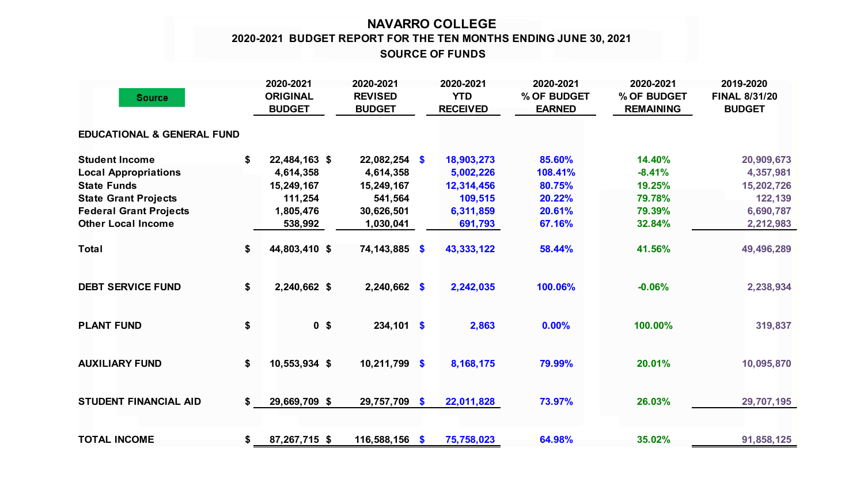## **NAVARRO COLLEGE SOURCE OF FUNDS 2020-2021 BUDGET REPORT FOR THE TEN MONTHS ENDING JUNE 30, 2021**

|                                       | 2020-2021                        | 2020-2021                       | 2020-2021                     | 2020-2021                    | 2020-2021                       | 2019-2020                             |
|---------------------------------------|----------------------------------|---------------------------------|-------------------------------|------------------------------|---------------------------------|---------------------------------------|
| <b>Source</b>                         | <b>ORIGINAL</b><br><b>BUDGET</b> | <b>REVISED</b><br><b>BUDGET</b> | <b>YTD</b><br><b>RECEIVED</b> | % OF BUDGET<br><b>EARNED</b> | % OF BUDGET<br><b>REMAINING</b> | <b>FINAL 8/31/20</b><br><b>BUDGET</b> |
|                                       |                                  |                                 |                               |                              |                                 |                                       |
| <b>EDUCATIONAL &amp; GENERAL FUND</b> |                                  |                                 |                               |                              |                                 |                                       |
| <b>Student Income</b>                 | \$<br>22,484,163 \$              | $22,082,254$ \$                 | 18,903,273                    | 85.60%                       | 14.40%                          | 20,909,673                            |
| <b>Local Appropriations</b>           | 4,614,358                        | 4,614,358                       | 5,002,226                     | 108.41%                      | $-8.41%$                        | 4,357,981                             |
| <b>State Funds</b>                    | 15,249,167                       | 15,249,167                      | 12,314,456                    | 80.75%                       | 19.25%                          | 15,202,726                            |
| <b>State Grant Projects</b>           | 111,254                          | 541,564                         | 109,515                       | 20.22%                       | 79.78%                          | 122,139                               |
| <b>Federal Grant Projects</b>         | 1,805,476                        | 30,626,501                      | 6,311,859                     | 20.61%                       | 79.39%                          | 6,690,787                             |
| <b>Other Local Income</b>             | 538,992                          | 1,030,041                       | 691,793                       | 67.16%                       | 32.84%                          | 2,212,983                             |
| <b>Total</b>                          | \$<br>44,803,410 \$              | <b>74,143,885</b> \$            | 43,333,122                    | 58.44%                       | 41.56%                          | 49,496,289                            |
| <b>DEBT SERVICE FUND</b>              | \$<br>2,240,662 \$               | $2,240,662$ \$                  | 2,242,035                     | 100.06%                      | $-0.06%$                        | 2,238,934                             |
| <b>PLANT FUND</b>                     | \$<br>0 <sup>5</sup>             | $234,101$ \$                    | 2,863                         | 0.00%                        | 100.00%                         | 319,837                               |
| <b>AUXILIARY FUND</b>                 | \$<br>10,553,934 \$              | $10,211,799$ \$                 | 8,168,175                     | 79.99%                       | 20.01%                          | 10,095,870                            |
| <b>STUDENT FINANCIAL AID</b>          | \$<br>29,669,709 \$              | 29,757,709 \$                   | 22,011,828                    | 73.97%                       | 26.03%                          | 29,707,195                            |
| <b>TOTAL INCOME</b>                   | \$<br>87,267,715 \$              | $116,588,156$ \$                | 75,758,023                    | 64.98%                       | 35.02%                          | 91,858,125                            |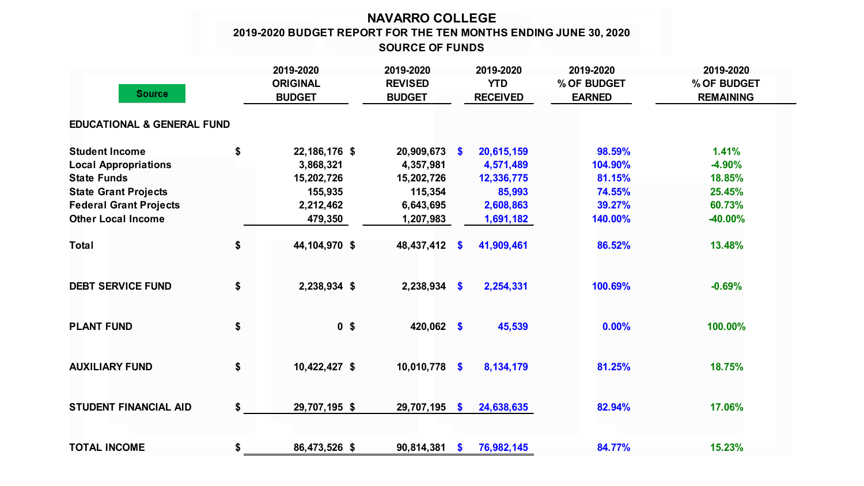## **NAVARRO COLLEGE 2019-2020 BUDGET REPORT FOR THE TEN MONTHS ENDING JUNE 30, 2020 SOURCE OF FUNDS**

|                                       |    | 2019-2020                        | 2019-2020                       |              | 2019-2020                     | 2019-2020                    | 2019-2020                       |  |
|---------------------------------------|----|----------------------------------|---------------------------------|--------------|-------------------------------|------------------------------|---------------------------------|--|
| <b>Source</b>                         |    | <b>ORIGINAL</b><br><b>BUDGET</b> | <b>REVISED</b><br><b>BUDGET</b> |              | <b>YTD</b><br><b>RECEIVED</b> | % OF BUDGET<br><b>EARNED</b> | % OF BUDGET<br><b>REMAINING</b> |  |
| <b>EDUCATIONAL &amp; GENERAL FUND</b> |    |                                  |                                 |              |                               |                              |                                 |  |
| <b>Student Income</b>                 | \$ | 22,186,176 \$                    | 20,909,673 \$                   |              | 20,615,159                    | 98.59%                       | 1.41%                           |  |
| <b>Local Appropriations</b>           |    | 3,868,321                        | 4,357,981                       |              | 4,571,489                     | 104.90%                      | $-4.90%$                        |  |
| <b>State Funds</b>                    |    | 15,202,726                       | 15,202,726                      |              | 12,336,775                    | 81.15%                       | 18.85%                          |  |
| <b>State Grant Projects</b>           |    | 155,935                          | 115,354                         |              | 85,993                        | 74.55%                       | 25.45%                          |  |
| <b>Federal Grant Projects</b>         |    | 2,212,462                        | 6,643,695                       |              | 2,608,863                     | 39.27%                       | 60.73%                          |  |
| <b>Other Local Income</b>             |    | 479,350                          | 1,207,983                       |              | 1,691,182                     | 140.00%                      | -40.00%                         |  |
| <b>Total</b>                          | \$ | 44,104,970 \$                    | 48,437,412 \$                   |              | 41,909,461                    | 86.52%                       | 13.48%                          |  |
| <b>DEBT SERVICE FUND</b>              | \$ | 2,238,934 \$                     | $2,238,934$ \$                  |              | 2,254,331                     | 100.69%                      | $-0.69%$                        |  |
| <b>PLANT FUND</b>                     | \$ | 0 <sup>5</sup>                   | 420,062 \$                      |              | 45,539                        | 0.00%                        | 100.00%                         |  |
| <b>AUXILIARY FUND</b>                 | \$ | 10,422,427 \$                    | 10,010,778 \$                   |              | 8,134,179                     | 81.25%                       | 18.75%                          |  |
| <b>STUDENT FINANCIAL AID</b>          | \$ | 29,707,195 \$                    | 29,707,195                      | - \$         | 24,638,635                    | 82.94%                       | 17.06%                          |  |
| <b>TOTAL INCOME</b>                   | \$ | 86,473,526 \$                    | 90,814,381                      | $\mathbf{s}$ | 76,982,145                    | 84.77%                       | 15.23%                          |  |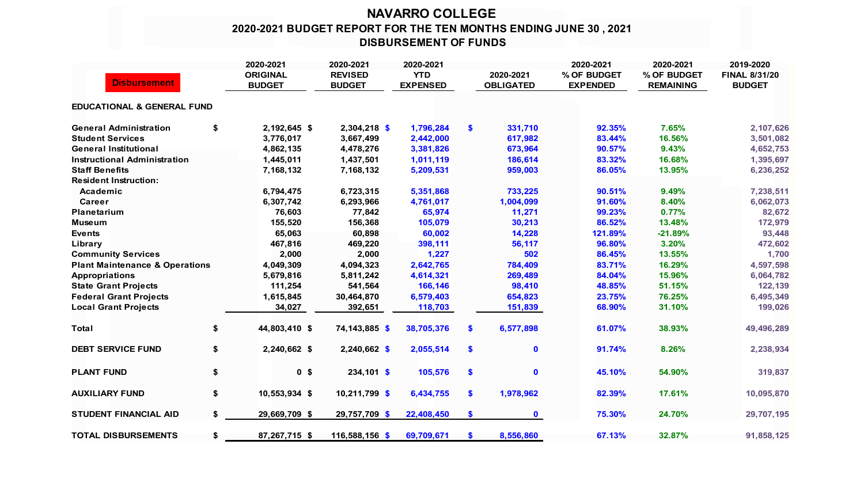## **NAVARRO COLLEGE 2020-2021 BUDGET REPORT FOR THE TEN MONTHS ENDING JUNE 30 , 2021 DISBURSEMENT OF FUNDS**

|                                           | 2020-2021            | 2020-2021      | 2020-2021       |               |                  | 2020-2021       | 2020-2021        | 2019-2020            |
|-------------------------------------------|----------------------|----------------|-----------------|---------------|------------------|-----------------|------------------|----------------------|
|                                           | <b>ORIGINAL</b>      | <b>REVISED</b> | <b>YTD</b>      |               | 2020-2021        | % OF BUDGET     | % OF BUDGET      | <b>FINAL 8/31/20</b> |
| <b>Disbursement</b>                       | <b>BUDGET</b>        | <b>BUDGET</b>  | <b>EXPENSED</b> |               | <b>OBLIGATED</b> | <b>EXPENDED</b> | <b>REMAINING</b> | <b>BUDGET</b>        |
| <b>EDUCATIONAL &amp; GENERAL FUND</b>     |                      |                |                 |               |                  |                 |                  |                      |
| <b>General Administration</b>             | \$<br>2,192,645 \$   | 2,304,218 \$   | 1,796,284       | \$            | 331,710          | 92.35%          | 7.65%            | 2,107,626            |
| <b>Student Services</b>                   | 3,776,017            | 3,667,499      | 2,442,000       |               | 617,982          | 83.44%          | 16.56%           | 3,501,082            |
| <b>General Institutional</b>              | 4,862,135            | 4,478,276      | 3,381,826       |               | 673,964          | 90.57%          | 9.43%            | 4,652,753            |
| <b>Instructional Administration</b>       | 1,445,011            | 1,437,501      | 1,011,119       |               | 186,614          | 83.32%          | 16.68%           | 1,395,697            |
| <b>Staff Benefits</b>                     | 7,168,132            | 7,168,132      | 5,209,531       |               | 959,003          | 86.05%          | 13.95%           | 6,236,252            |
| <b>Resident Instruction:</b>              |                      |                |                 |               |                  |                 |                  |                      |
| Academic                                  | 6,794,475            | 6,723,315      | 5,351,868       |               | 733,225          | 90.51%          | 9.49%            | 7,238,511            |
| <b>Career</b>                             | 6,307,742            | 6,293,966      | 4,761,017       |               | 1,004,099        | 91.60%          | 8.40%            | 6,062,073            |
| <b>Planetarium</b>                        | 76,603               | 77,842         | 65,974          |               | 11,271           | 99.23%          | 0.77%            | 82,672               |
| <b>Museum</b>                             | 155,520              | 156,368        | 105,079         |               | 30,213           | 86.52%          | 13.48%           | 172,979              |
| <b>Events</b>                             | 65,063               | 60,898         | 60,002          |               | 14,228           | 121.89%         | $-21.89%$        | 93,448               |
| Library                                   | 467,816              | 469,220        | 398,111         |               | 56,117           | 96.80%          | 3.20%            | 472,602              |
| <b>Community Services</b>                 | 2,000                | 2,000          | 1,227           |               | 502              | 86.45%          | 13.55%           | 1,700                |
| <b>Plant Maintenance &amp; Operations</b> | 4,049,309            | 4,094,323      | 2,642,765       |               | 784,409          | 83.71%          | 16.29%           | 4,597,598            |
| <b>Appropriations</b>                     | 5,679,816            | 5,811,242      | 4,614,321       |               | 269,489          | 84.04%          | 15.96%           | 6,064,782            |
| <b>State Grant Projects</b>               | 111,254              | 541,564        | 166,146         |               | 98,410           | 48.85%          | 51.15%           | 122,139              |
| <b>Federal Grant Projects</b>             | 1,615,845            | 30,464,870     | 6,579,403       |               | 654,823          | 23.75%          | 76.25%           | 6,495,349            |
| <b>Local Grant Projects</b>               | 34,027               | 392,651        | 118,703         |               | 151,839          | 68.90%          | 31.10%           | 199,026              |
| <b>Total</b>                              | \$<br>44,803,410 \$  | 74,143,885 \$  | 38,705,376      | \$            | 6,577,898        | 61.07%          | 38.93%           | 49,496,289           |
| <b>DEBT SERVICE FUND</b>                  | \$<br>2,240,662 \$   | $2,240,662$ \$ | 2,055,514       | $\mathbf{\$}$ | $\mathbf 0$      | 91.74%          | 8.26%            | 2,238,934            |
| <b>PLANT FUND</b>                         | \$<br>0 <sup>5</sup> | $234,101$ \$   | 105,576         | \$            | $\mathbf 0$      | 45.10%          | 54.90%           | 319,837              |
| <b>AUXILIARY FUND</b>                     | \$<br>10,553,934 \$  | 10,211,799 \$  | 6,434,755       | \$            | 1,978,962        | 82.39%          | 17.61%           | 10,095,870           |
| <b>STUDENT FINANCIAL AID</b>              | \$<br>29,669,709 \$  | 29,757,709 \$  | 22,408,450      | \$            | $\mathbf 0$      | 75.30%          | 24.70%           | 29,707,195           |
| <b>TOTAL DISBURSEMENTS</b>                | \$<br>87,267,715 \$  | 116,588,156 \$ | 69,709,671      | S             | 8,556,860        | 67.13%          | 32.87%           | 91,858,125           |